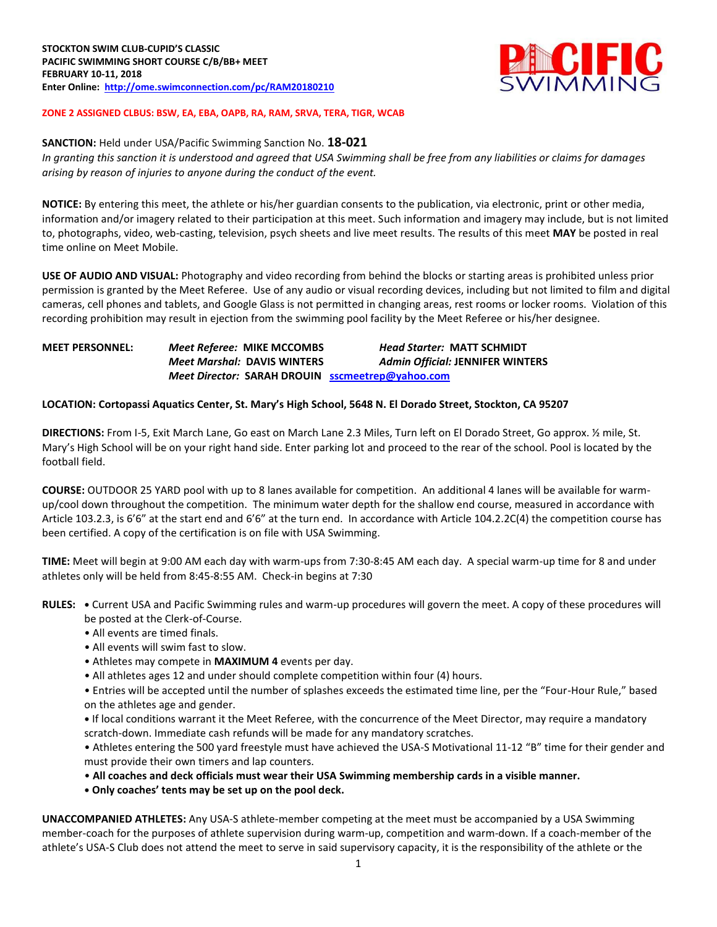

## **ZONE 2 ASSIGNED CLBUS: BSW, EA, EBA, OAPB, RA, RAM, SRVA, TERA, TIGR, WCAB**

**SANCTION:** Held under USA/Pacific Swimming Sanction No. **18-021** *In granting this sanction it is understood and agreed that USA Swimming shall be free from any liabilities or claims for damages arising by reason of injuries to anyone during the conduct of the event.*

**NOTICE:** By entering this meet, the athlete or his/her guardian consents to the publication, via electronic, print or other media, information and/or imagery related to their participation at this meet. Such information and imagery may include, but is not limited to, photographs, video, web-casting, television, psych sheets and live meet results. The results of this meet **MAY** be posted in real time online on Meet Mobile.

**USE OF AUDIO AND VISUAL:** Photography and video recording from behind the blocks or starting areas is prohibited unless prior permission is granted by the Meet Referee. Use of any audio or visual recording devices, including but not limited to film and digital cameras, cell phones and tablets, and Google Glass is not permitted in changing areas, rest rooms or locker rooms. Violation of this recording prohibition may result in ejection from the swimming pool facility by the Meet Referee or his/her designee.

# **MEET PERSONNEL:** *Meet Referee:* **MIKE MCCOMBS** *Head Starter:* **MATT SCHMIDT** *Meet Marshal:* **DAVIS WINTERS** *Admin Official:* **JENNIFER WINTERS** *Meet Director:* **SARAH DROUIN [sscmeetrep@yahoo.com](mailto:sscmeetrep@yahoo.com)**

#### **LOCATION: Cortopassi Aquatics Center, St. Mary's High School, 5648 N. El Dorado Street, Stockton, CA 95207**

**DIRECTIONS:** From I-5, Exit March Lane, Go east on March Lane 2.3 Miles, Turn left on El Dorado Street, Go approx. ½ mile, St. Mary's High School will be on your right hand side. Enter parking lot and proceed to the rear of the school. Pool is located by the football field.

**COURSE:** OUTDOOR 25 YARD pool with up to 8 lanes available for competition. An additional 4 lanes will be available for warmup/cool down throughout the competition. The minimum water depth for the shallow end course, measured in accordance with Article 103.2.3, is 6'6" at the start end and 6'6" at the turn end. In accordance with Article 104.2.2C(4) the competition course has been certified. A copy of the certification is on file with USA Swimming.

**TIME:** Meet will begin at 9:00 AM each day with warm-ups from 7:30-8:45 AM each day. A special warm-up time for 8 and under athletes only will be held from 8:45-8:55 AM. Check-in begins at 7:30

- **RULES: •** Current USA and Pacific Swimming rules and warm-up procedures will govern the meet. A copy of these procedures will be posted at the Clerk-of-Course.
	- All events are timed finals.
	- All events will swim fast to slow.
	- Athletes may compete in **MAXIMUM 4** events per day.
	- All athletes ages 12 and under should complete competition within four (4) hours.

• Entries will be accepted until the number of splashes exceeds the estimated time line, per the "Four-Hour Rule," based on the athletes age and gender.

**•** If local conditions warrant it the Meet Referee, with the concurrence of the Meet Director, may require a mandatory scratch-down. Immediate cash refunds will be made for any mandatory scratches.

• Athletes entering the 500 yard freestyle must have achieved the USA-S Motivational 11-12 "B" time for their gender and must provide their own timers and lap counters.

• **All coaches and deck officials must wear their USA Swimming membership cards in a visible manner.** 

**• Only coaches' tents may be set up on the pool deck.**

**UNACCOMPANIED ATHLETES:** Any USA-S athlete-member competing at the meet must be accompanied by a USA Swimming member-coach for the purposes of athlete supervision during warm-up, competition and warm-down. If a coach-member of the athlete's USA-S Club does not attend the meet to serve in said supervisory capacity, it is the responsibility of the athlete or the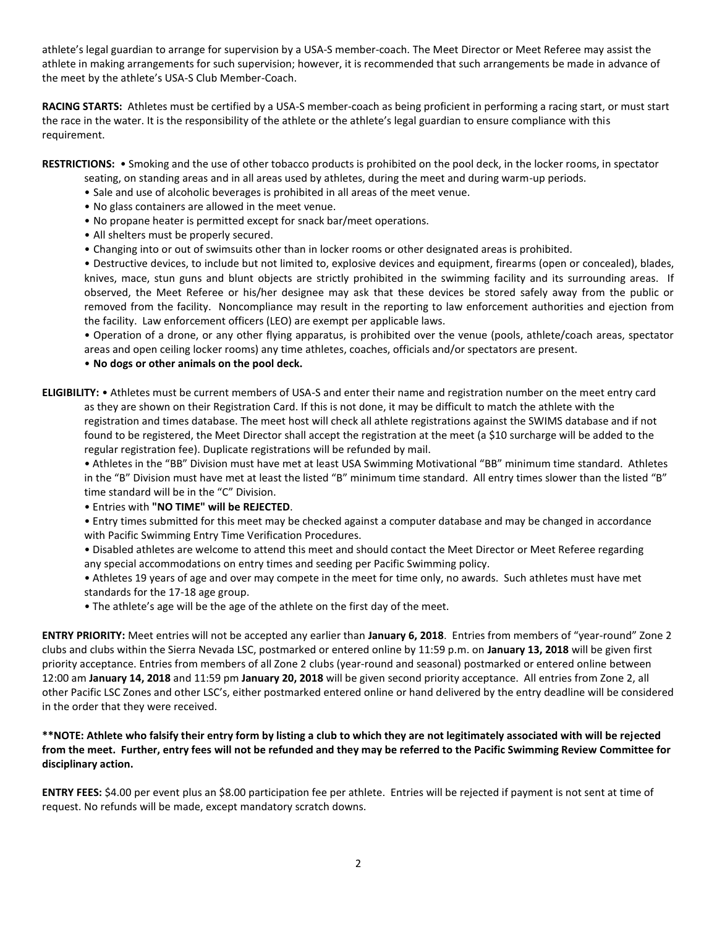athlete's legal guardian to arrange for supervision by a USA-S member-coach. The Meet Director or Meet Referee may assist the athlete in making arrangements for such supervision; however, it is recommended that such arrangements be made in advance of the meet by the athlete's USA-S Club Member-Coach.

**RACING STARTS:** Athletes must be certified by a USA-S member-coach as being proficient in performing a racing start, or must start the race in the water. It is the responsibility of the athlete or the athlete's legal guardian to ensure compliance with this requirement.

**RESTRICTIONS:** • Smoking and the use of other tobacco products is prohibited on the pool deck, in the locker rooms, in spectator

- seating, on standing areas and in all areas used by athletes, during the meet and during warm-up periods.
- Sale and use of alcoholic beverages is prohibited in all areas of the meet venue.
- No glass containers are allowed in the meet venue.
- No propane heater is permitted except for snack bar/meet operations.
- All shelters must be properly secured.
- Changing into or out of swimsuits other than in locker rooms or other designated areas is prohibited.

• Destructive devices, to include but not limited to, explosive devices and equipment, firearms (open or concealed), blades, knives, mace, stun guns and blunt objects are strictly prohibited in the swimming facility and its surrounding areas. If observed, the Meet Referee or his/her designee may ask that these devices be stored safely away from the public or removed from the facility. Noncompliance may result in the reporting to law enforcement authorities and ejection from the facility. Law enforcement officers (LEO) are exempt per applicable laws.

• Operation of a drone, or any other flying apparatus, is prohibited over the venue (pools, athlete/coach areas, spectator areas and open ceiling locker rooms) any time athletes, coaches, officials and/or spectators are present.

# • **No dogs or other animals on the pool deck.**

**ELIGIBILITY:** • Athletes must be current members of USA-S and enter their name and registration number on the meet entry card as they are shown on their Registration Card. If this is not done, it may be difficult to match the athlete with the registration and times database. The meet host will check all athlete registrations against the SWIMS database and if not found to be registered, the Meet Director shall accept the registration at the meet (a \$10 surcharge will be added to the regular registration fee). Duplicate registrations will be refunded by mail.

• Athletes in the "BB" Division must have met at least USA Swimming Motivational "BB" minimum time standard. Athletes in the "B" Division must have met at least the listed "B" minimum time standard. All entry times slower than the listed "B" time standard will be in the "C" Division.

• Entries with **"NO TIME" will be REJECTED**.

• Entry times submitted for this meet may be checked against a computer database and may be changed in accordance with Pacific Swimming Entry Time Verification Procedures.

• Disabled athletes are welcome to attend this meet and should contact the Meet Director or Meet Referee regarding any special accommodations on entry times and seeding per Pacific Swimming policy.

• Athletes 19 years of age and over may compete in the meet for time only, no awards. Such athletes must have met standards for the 17-18 age group.

• The athlete's age will be the age of the athlete on the first day of the meet.

**ENTRY PRIORITY:** Meet entries will not be accepted any earlier than **January 6, 2018**. Entries from members of "year-round" Zone 2 clubs and clubs within the Sierra Nevada LSC, postmarked or entered online by 11:59 p.m. on **January 13, 2018** will be given first priority acceptance. Entries from members of all Zone 2 clubs (year-round and seasonal) postmarked or entered online between 12:00 am **January 14, 2018** and 11:59 pm **January 20, 2018** will be given second priority acceptance. All entries from Zone 2, all other Pacific LSC Zones and other LSC's, either postmarked entered online or hand delivered by the entry deadline will be considered in the order that they were received.

## **\*\*NOTE: Athlete who falsify their entry form by listing a club to which they are not legitimately associated with will be rejected from the meet. Further, entry fees will not be refunded and they may be referred to the Pacific Swimming Review Committee for disciplinary action.**

**ENTRY FEES:** \$4.00 per event plus an \$8.00 participation fee per athlete. Entries will be rejected if payment is not sent at time of request. No refunds will be made, except mandatory scratch downs.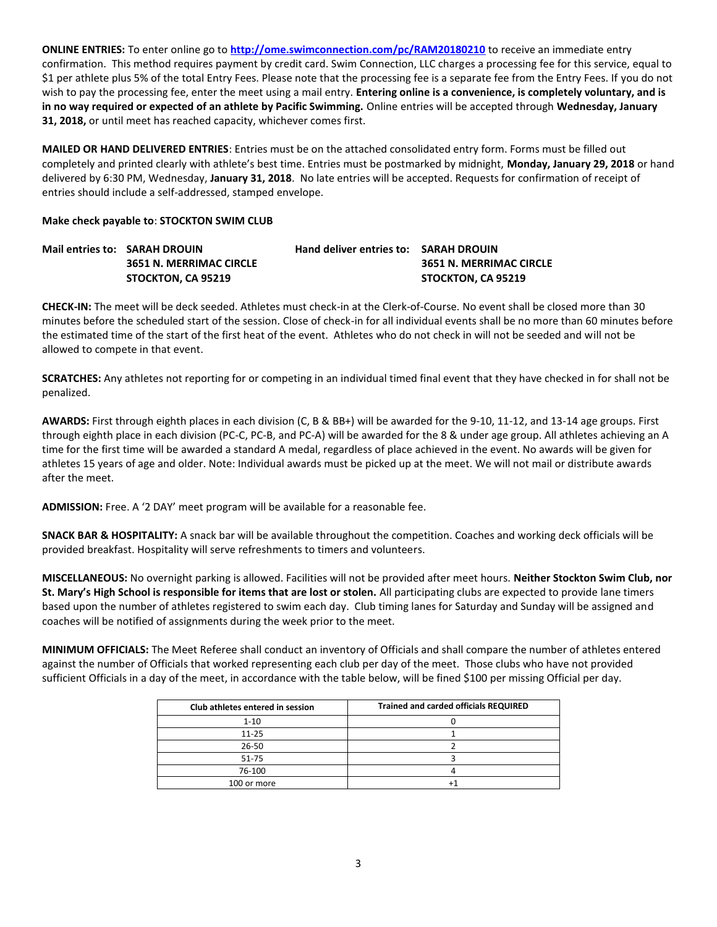**ONLINE ENTRIES:** To enter online go to **<http://ome.swimconnection.com/pc/RAM20180210>** to receive an immediate entry confirmation. This method requires payment by credit card. Swim Connection, LLC charges a processing fee for this service, equal to \$1 per athlete plus 5% of the total Entry Fees. Please note that the processing fee is a separate fee from the Entry Fees. If you do not wish to pay the processing fee, enter the meet using a mail entry. **Entering online is a convenience, is completely voluntary, and is in no way required or expected of an athlete by Pacific Swimming.** Online entries will be accepted through **Wednesday, January 31, 2018,** or until meet has reached capacity, whichever comes first.

**MAILED OR HAND DELIVERED ENTRIES**: Entries must be on the attached consolidated entry form. Forms must be filled out completely and printed clearly with athlete's best time. Entries must be postmarked by midnight, **Monday, January 29, 2018** or hand delivered by 6:30 PM, Wednesday, **January 31, 2018**. No late entries will be accepted. Requests for confirmation of receipt of entries should include a self-addressed, stamped envelope.

## **Make check payable to**: **STOCKTON SWIM CLUB**

| Mail entries to: SARAH DROUIN  | <b>Hand deliver entries to: SARAH DROUIN</b> |                         |
|--------------------------------|----------------------------------------------|-------------------------|
| <b>3651 N. MERRIMAC CIRCLE</b> |                                              | 3651 N. MERRIMAC CIRCLE |
| STOCKTON, CA 95219             |                                              | STOCKTON. CA 95219      |

**CHECK-IN:** The meet will be deck seeded. Athletes must check-in at the Clerk-of-Course. No event shall be closed more than 30 minutes before the scheduled start of the session. Close of check-in for all individual events shall be no more than 60 minutes before the estimated time of the start of the first heat of the event. Athletes who do not check in will not be seeded and will not be allowed to compete in that event.

**SCRATCHES:** Any athletes not reporting for or competing in an individual timed final event that they have checked in for shall not be penalized.

**AWARDS:** First through eighth places in each division (C, B & BB+) will be awarded for the 9-10, 11-12, and 13-14 age groups. First through eighth place in each division (PC-C, PC-B, and PC-A) will be awarded for the 8 & under age group. All athletes achieving an A time for the first time will be awarded a standard A medal, regardless of place achieved in the event. No awards will be given for athletes 15 years of age and older. Note: Individual awards must be picked up at the meet. We will not mail or distribute awards after the meet.

**ADMISSION:** Free. A '2 DAY' meet program will be available for a reasonable fee.

**SNACK BAR & HOSPITALITY:** A snack bar will be available throughout the competition. Coaches and working deck officials will be provided breakfast. Hospitality will serve refreshments to timers and volunteers.

**MISCELLANEOUS:** No overnight parking is allowed. Facilities will not be provided after meet hours. **Neither Stockton Swim Club, nor St. Mary's High School is responsible for items that are lost or stolen.** All participating clubs are expected to provide lane timers based upon the number of athletes registered to swim each day. Club timing lanes for Saturday and Sunday will be assigned and coaches will be notified of assignments during the week prior to the meet.

**MINIMUM OFFICIALS:** The Meet Referee shall conduct an inventory of Officials and shall compare the number of athletes entered against the number of Officials that worked representing each club per day of the meet. Those clubs who have not provided sufficient Officials in a day of the meet, in accordance with the table below, will be fined \$100 per missing Official per day.

| Club athletes entered in session | <b>Trained and carded officials REQUIRED</b> |
|----------------------------------|----------------------------------------------|
| $1 - 10$                         |                                              |
| $11 - 25$                        |                                              |
| $26 - 50$                        |                                              |
| $51 - 75$                        |                                              |
| 76-100                           |                                              |
| 100 or more                      |                                              |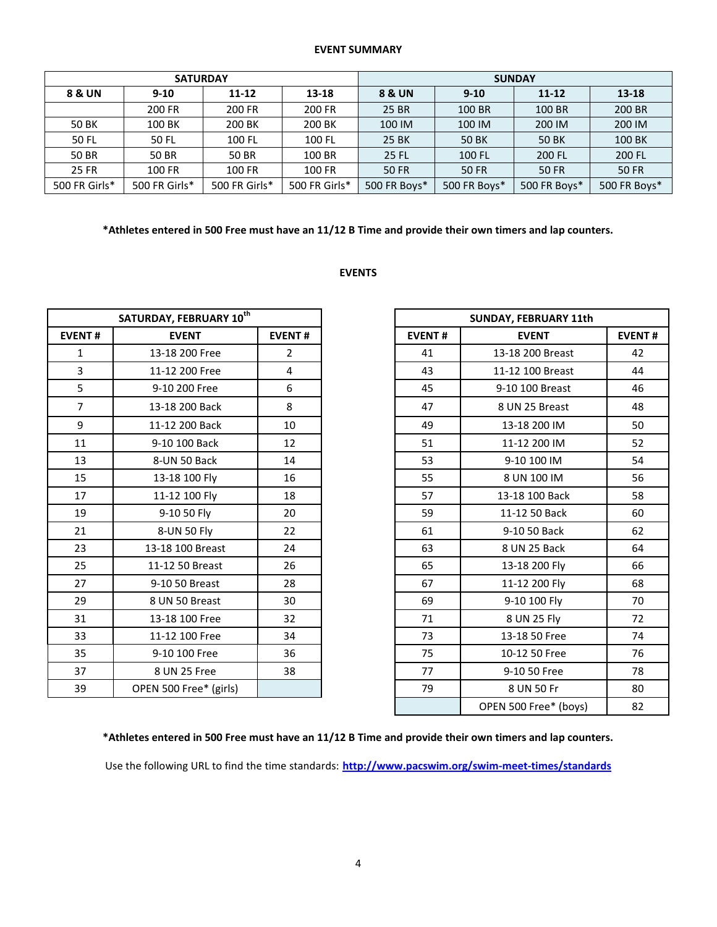#### **EVENT SUMMARY**

| <b>SATURDAY</b>                 |               |               |                    | <b>SUNDAY</b> |              |              |              |
|---------------------------------|---------------|---------------|--------------------|---------------|--------------|--------------|--------------|
| 8 & UN<br>$9 - 10$<br>$11 - 12$ |               | 13-18         | 8 & UN<br>$9 - 10$ |               | $11 - 12$    | $13 - 18$    |              |
|                                 | 200 FR        | 200 FR        | 200 FR             | 25 BR         | 100 BR       | 100 BR       | 200 BR       |
| 50 BK                           | 100 BK        | 200 BK        | 200 BK             | 100 IM        | 100 IM       | 200 IM       | 200 IM       |
| 50 FL                           | 50 FL         | 100 FL        | 100 FL             | 25 BK         | <b>50 BK</b> | 50 BK        | 100 BK       |
| 50 BR                           | 50 BR         | 50 BR         | 100 BR             | 25 FL         | 100 FL       | 200 FL       | 200 FL       |
| 25 FR                           | 100 FR        | 100 FR        | 100 FR             | <b>50 FR</b>  | <b>50 FR</b> | <b>50 FR</b> | <b>50 FR</b> |
| 500 FR Girls*                   | 500 FR Girls* | 500 FR Girls* | 500 FR Girls*      | 500 FR Boys*  | 500 FR Boys* | 500 FR Boys* | 500 FR Boys* |

**\*Athletes entered in 500 Free must have an 11/12 B Time and provide their own timers and lap counters.** 

#### **EVENTS**

| SATURDAY, FEBRUARY 10th |                        |                |
|-------------------------|------------------------|----------------|
| <b>EVENT#</b>           | <b>EVENT</b>           | <b>EVENT#</b>  |
| $\mathbf{1}$            | 13-18 200 Free         | $\overline{2}$ |
| 3                       | 11-12 200 Free         | 4              |
| 5                       | 9-10 200 Free          | 6              |
| $\overline{7}$          | 13-18 200 Back         | 8              |
| 9                       | 11-12 200 Back         | 10             |
| 11                      | 9-10 100 Back          | 12             |
| 13                      | 8-UN 50 Back           | 14             |
| 15                      | 13-18 100 Fly          | 16             |
| 17                      | 11-12 100 Fly          | 18             |
| 19                      | 9-10 50 Fly            | 20             |
| 21                      | 8-UN 50 Fly            | 22             |
| 23                      | 13-18 100 Breast       | 24             |
| 25                      | 11-12 50 Breast        | 26             |
| 27                      | 9-10 50 Breast         | 28             |
| 29                      | 8 UN 50 Breast         | 30             |
| 31                      | 13-18 100 Free         | 32             |
| 33                      | 11-12 100 Free         | 34             |
| 35                      | 9-10 100 Free          | 36             |
| 37                      | 8 UN 25 Free           | 38             |
| 39                      | OPEN 500 Free* (girls) |                |

| SATURDAY, FEBRUARY 10 <sup>th</sup> |                        |                |
|-------------------------------------|------------------------|----------------|
| <b>EVENT#</b>                       | <b>EVENT</b>           | <b>EVENT#</b>  |
| $\mathbf{1}$                        | 13-18 200 Free         | $\overline{2}$ |
| 3                                   | 11-12 200 Free         | 4              |
| 5                                   | 9-10 200 Free          | 6              |
| $\overline{7}$                      | 13-18 200 Back         | 8              |
| 9                                   | 11-12 200 Back         | 10             |
| 11                                  | 9-10 100 Back          | 12             |
| 13                                  | 8-UN 50 Back           | 14             |
| 15                                  | 13-18 100 Fly          | 16             |
| 17                                  | 11-12 100 Fly          | 18             |
| 19                                  | 9-10 50 Fly            | 20             |
| 21                                  | 8-UN 50 Fly            | 22             |
| 23                                  | 13-18 100 Breast       | 24             |
| 25                                  | 11-12 50 Breast        | 26             |
| 27                                  | 9-10 50 Breast         | 28             |
| 29                                  | 8 UN 50 Breast         | 30             |
| 31                                  | 13-18 100 Free         | 32             |
| 33                                  | 11-12 100 Free         | 34             |
| 35                                  | 9-10 100 Free          | 36             |
| 37                                  | 8 UN 25 Free           | 38             |
| 39                                  | OPEN 500 Free* (girls) |                |
|                                     |                        |                |

**\*Athletes entered in 500 Free must have an 11/12 B Time and provide their own timers and lap counters.** 

Use the following URL to find the time standards: **<http://www.pacswim.org/swim-meet-times/standards>**